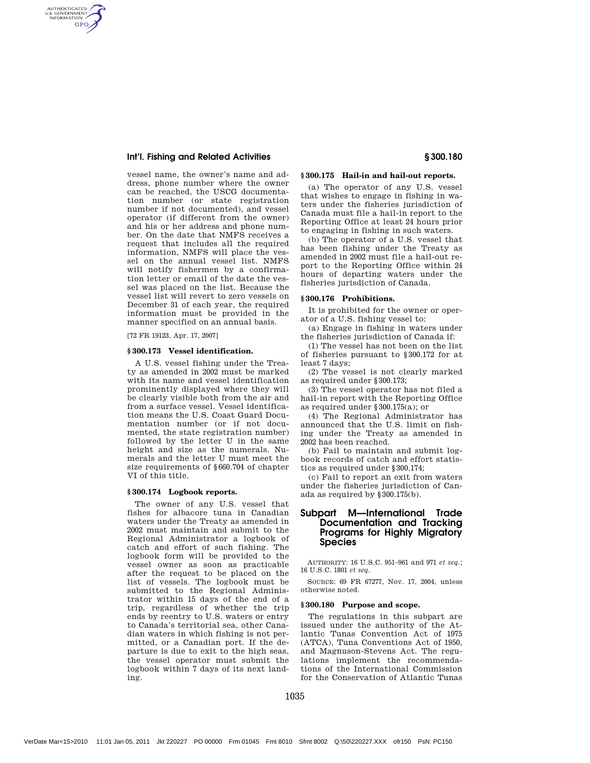## Int'l. Fishing and Related Activities § 300.180

AUTHENTICATED<br>U.S. GOVERNMENT<br>INFORMATION **GPO** 

> vessel name, the owner's name and address, phone number where the owner can be reached, the USCG documentation number (or state registration number if not documented), and vessel operator (if different from the owner) and his or her address and phone number. On the date that NMFS receives a request that includes all the required information, NMFS will place the vessel on the annual vessel list. NMFS will notify fishermen by a confirmation letter or email of the date the vessel was placed on the list. Because the vessel list will revert to zero vessels on December 31 of each year, the required information must be provided in the manner specified on an annual basis.

[72 FR 19123, Apr. 17, 2007]

## **§ 300.173 Vessel identification.**

A U.S. vessel fishing under the Treaty as amended in 2002 must be marked with its name and vessel identification prominently displayed where they will be clearly visible both from the air and from a surface vessel. Vessel identification means the U.S. Coast Guard Documentation number (or if not documented, the state registration number) followed by the letter U in the same height and size as the numerals. Numerals and the letter U must meet the size requirements of §660.704 of chapter VI of this title.

#### **§ 300.174 Logbook reports.**

The owner of any U.S. vessel that fishes for albacore tuna in Canadian waters under the Treaty as amended in 2002 must maintain and submit to the Regional Administrator a logbook of catch and effort of such fishing. The logbook form will be provided to the vessel owner as soon as practicable after the request to be placed on the list of vessels. The logbook must be submitted to the Regional Administrator within 15 days of the end of a trip, regardless of whether the trip ends by reentry to U.S. waters or entry to Canada's territorial sea, other Canadian waters in which fishing is not permitted, or a Canadian port. If the departure is due to exit to the high seas, the vessel operator must submit the logbook within 7 days of its next landing.

## **§ 300.175 Hail-in and hail-out reports.**

(a) The operator of any U.S. vessel that wishes to engage in fishing in waters under the fisheries jurisdiction of Canada must file a hail-in report to the Reporting Office at least 24 hours prior to engaging in fishing in such waters.

(b) The operator of a U.S. vessel that has been fishing under the Treaty as amended in 2002 must file a hail-out report to the Reporting Office within 24 hours of departing waters under the fisheries jurisdiction of Canada.

#### **§ 300.176 Prohibitions.**

It is prohibited for the owner or operator of a U.S. fishing vessel to:

(a) Engage in fishing in waters under the fisheries jurisdiction of Canada if:

(1) The vessel has not been on the list of fisheries pursuant to §300.172 for at least 7 days;

(2) The vessel is not clearly marked as required under §300.173;

(3) The vessel operator has not filed a hail-in report with the Reporting Office as required under §300.175(a); or

(4) The Regional Administrator has announced that the U.S. limit on fishing under the Treaty as amended in 2002 has been reached.

(b) Fail to maintain and submit logbook records of catch and effort statistics as required under §300.174;

(c) Fail to report an exit from waters under the fisheries jurisdiction of Canada as required by §300.175(b).

## Subpart M—International Trade Documentation and Tracking Programs for Highly Migratory **Species**

AUTHORITY: 16 U.S.C. 951–961 and 971 *et seq.*; 16 U.S.C. 1801 *et seq.*

SOURCE: 69 FR 67277, Nov. 17, 2004, unless otherwise noted.

# **§ 300.180 Purpose and scope.**

The regulations in this subpart are issued under the authority of the Atlantic Tunas Convention Act of 1975 (ATCA), Tuna Conventions Act of 1950, and Magnuson-Stevens Act. The regulations implement the recommendations of the International Commission for the Conservation of Atlantic Tunas